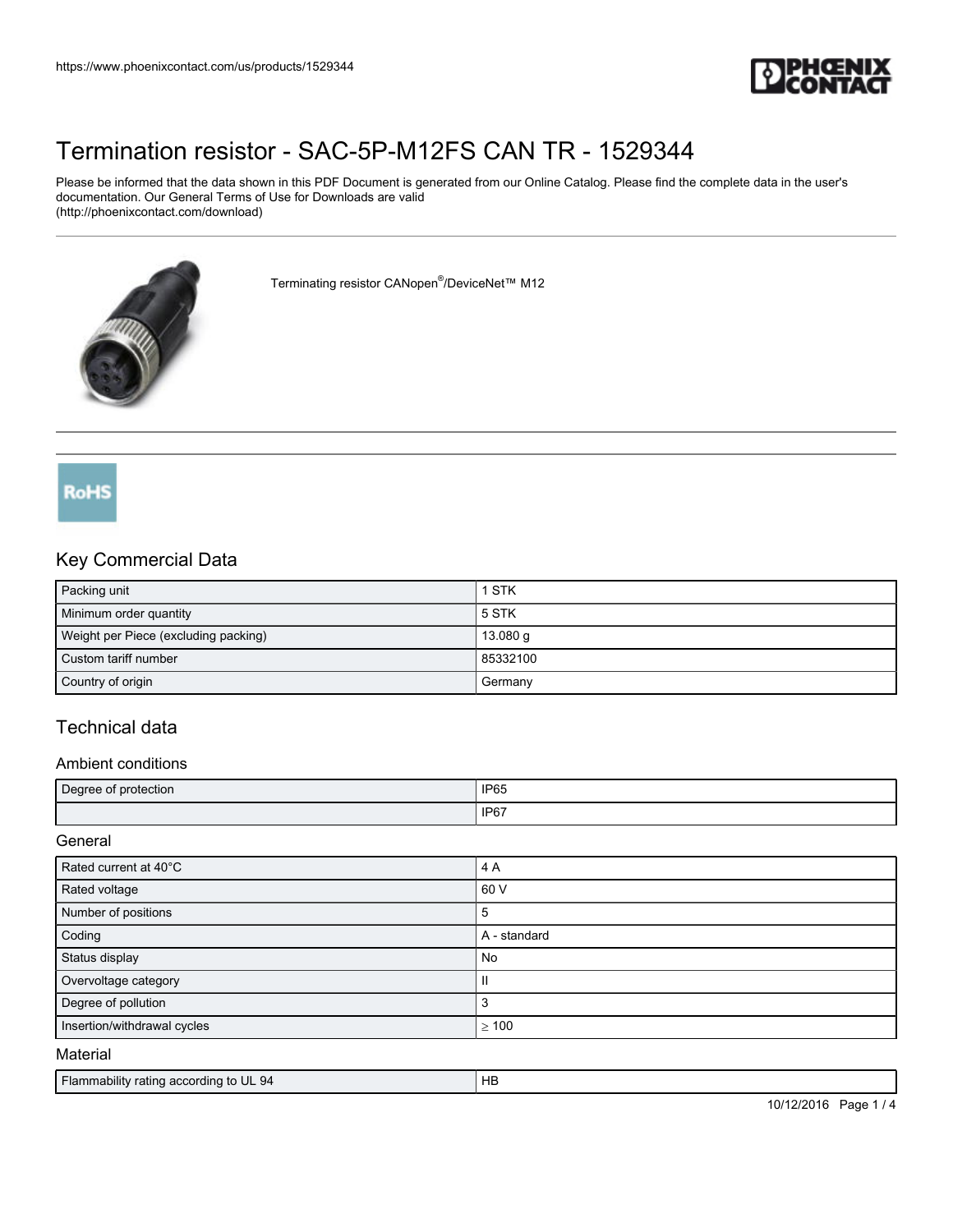

# [Termination resistor - SAC-5P-M12FS CAN TR - 1529344](https://www.phoenixcontact.com/us/products/1529344)

Please be informed that the data shown in this PDF Document is generated from our Online Catalog. Please find the complete data in the user's documentation. Our General Terms of Use for Downloads are valid (http://phoenixcontact.com/download)



Terminating resistor CANopen® /DeviceNet™ M12

## RoHS

### Key Commercial Data

| Packing unit                         | 1 STK    |
|--------------------------------------|----------|
| Minimum order quantity               | 5 STK    |
| Weight per Piece (excluding packing) | 13.080 g |
| Custom tariff number                 | 85332100 |
| Country of origin                    | Germany  |

## Technical data

#### Ambient conditions

| Degree of protection | IP <sub>65</sub>         |
|----------------------|--------------------------|
|                      | ID <sub>a7</sub><br>IFVI |

**General** 

| Rated current at 40°C                  | 4 A          |
|----------------------------------------|--------------|
| Rated voltage                          | 60 V         |
| Number of positions                    | 5            |
| Coding                                 | A - standard |
| Status display                         | No           |
| Overvoltage category                   | Ш            |
| Degree of pollution                    | 3            |
| Insertion/withdrawal cycles            | $\geq 100$   |
| Material                               |              |
| Flammability rating according to UL 94 | HB           |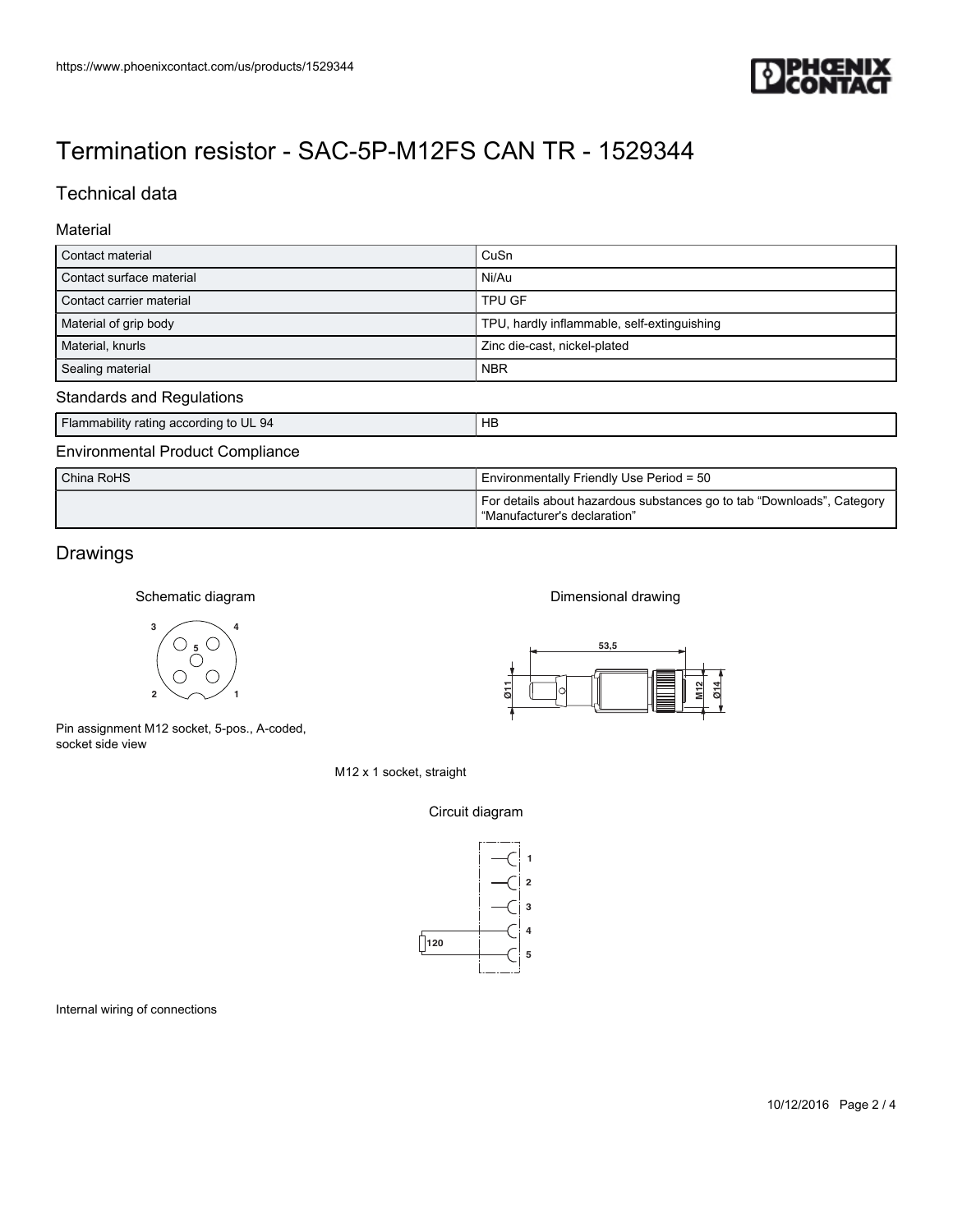

## [Termination resistor - SAC-5P-M12FS CAN TR - 1529344](https://www.phoenixcontact.com/us/products/1529344)

## Technical data

#### **Material**

| https://www.phoenixcontact.com/us/products/1529344   |                                                                        |
|------------------------------------------------------|------------------------------------------------------------------------|
|                                                      |                                                                        |
|                                                      |                                                                        |
|                                                      |                                                                        |
| Termination resistor - SAC-5P-M12FS CAN TR - 1529344 |                                                                        |
| <b>Technical data</b>                                |                                                                        |
|                                                      |                                                                        |
| Material                                             |                                                                        |
| Contact material                                     | CuSn                                                                   |
| Contact surface material                             | Ni/Au                                                                  |
| Contact carrier material                             | TPU GF                                                                 |
| Material of grip body                                | TPU, hardly inflammable, self-extinguishing                            |
| Material, knurls                                     | Zinc die-cast, nickel-plated                                           |
| Sealing material                                     | <b>NBR</b>                                                             |
| <b>Standards and Regulations</b>                     |                                                                        |
| Flammability rating according to UL 94               | HB                                                                     |
| <b>Environmental Product Compliance</b>              |                                                                        |
| China RoHS                                           | Environmentally Friendly Use Period = 50                               |
|                                                      | For details about hazardous substances go to tab "Downloads", Category |
|                                                      | "Manufacturer's declaration'                                           |
| Drawings                                             |                                                                        |
|                                                      |                                                                        |
| Schematic diagram                                    | Dimensional drawing                                                    |
| 3                                                    |                                                                        |
|                                                      | 53,5                                                                   |
|                                                      |                                                                        |
| $\overline{2}$                                       | $\frac{1}{2}$<br>M12<br>Ω                                              |
|                                                      |                                                                        |

## Flammability rating according to UL 94 HB

#### Environmental Product Compliance

| China RoHS | Environmentally Friendly Use Period = 50                                                               |
|------------|--------------------------------------------------------------------------------------------------------|
|            | For details about hazardous substances go to tab "Downloads", Category<br>"Manufacturer's declaration" |

## Drawings





Pin assignment M12 socket, 5-pos., A-coded, socket side view

M12 x 1 socket, straight

#### Circuit diagram



Internal wiring of connections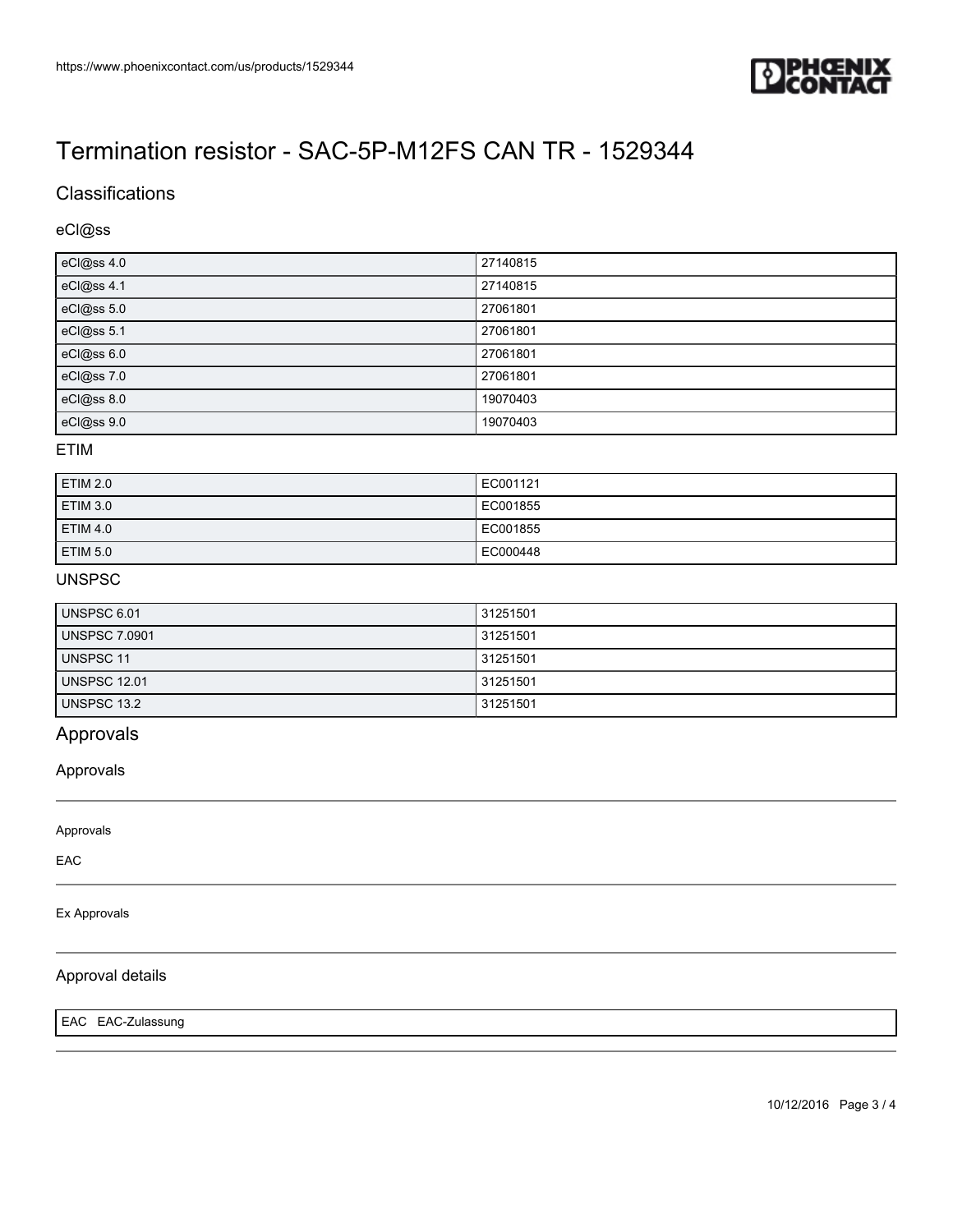

# [Termination resistor - SAC-5P-M12FS CAN TR - 1529344](https://www.phoenixcontact.com/us/products/1529344)

## **Classifications**

### eCl@ss

| eCl@ss 4.0 | 27140815 |
|------------|----------|
| eCl@ss 4.1 | 27140815 |
| eCl@ss 5.0 | 27061801 |
| eCl@ss 5.1 | 27061801 |
| eCl@ss 6.0 | 27061801 |
| eCl@ss 7.0 | 27061801 |
| eCl@ss 8.0 | 19070403 |
| eCl@ss 9.0 | 19070403 |

#### ETIM

| <b>ETIM 2.0</b> | EC001121 |
|-----------------|----------|
| <b>ETIM 3.0</b> | EC001855 |
| <b>ETIM 4.0</b> | EC001855 |
| <b>ETIM 5.0</b> | EC000448 |

#### UNSPSC

| <b>UNSPSC 6.01</b>   | 31251501 |
|----------------------|----------|
| <b>UNSPSC 7.0901</b> | 31251501 |
| UNSPSC 11            | 31251501 |
| <b>UNSPSC 12.01</b>  | 31251501 |
| <b>UNSPSC 13.2</b>   | 31251501 |

## Approvals

Approvals

Approvals

EAC

Ex Approvals

### Approval details

EAC EAC-Zulassung